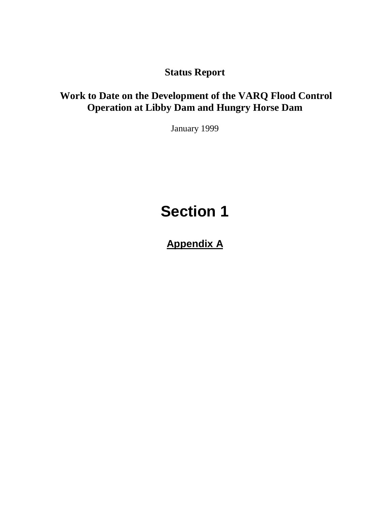**Status Report**

# **Work to Date on the Development of the VARQ Flood Control Operation at Libby Dam and Hungry Horse Dam**

January 1999

# **Section 1**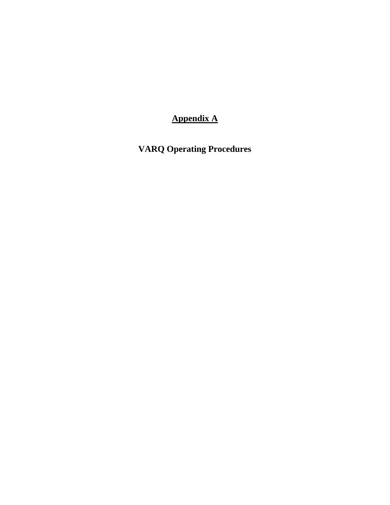**VARQ Operating Procedures**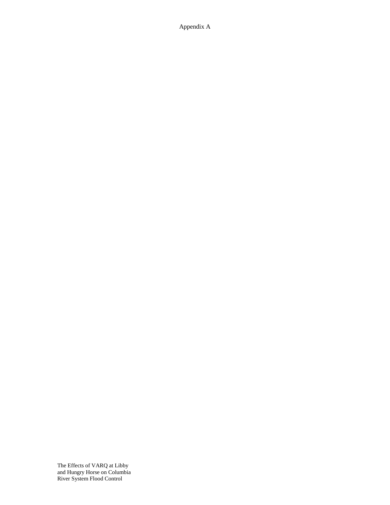The Effects of VARQ at Libby and Hungry Horse on Columbia River System Flood Control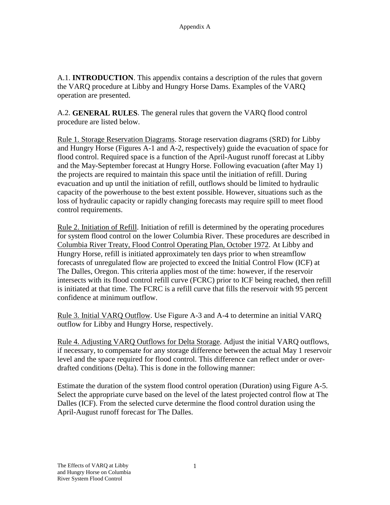A.1. **INTRODUCTION**. This appendix contains a description of the rules that govern the VARQ procedure at Libby and Hungry Horse Dams. Examples of the VARQ operation are presented.

A.2. **GENERAL RULES**. The general rules that govern the VARQ flood control procedure are listed below.

Rule 1. Storage Reservation Diagrams. Storage reservation diagrams (SRD) for Libby and Hungry Horse (Figures A-1 and A-2, respectively) guide the evacuation of space for flood control. Required space is a function of the April-August runoff forecast at Libby and the May-September forecast at Hungry Horse. Following evacuation (after May 1) the projects are required to maintain this space until the initiation of refill. During evacuation and up until the initiation of refill, outflows should be limited to hydraulic capacity of the powerhouse to the best extent possible. However, situations such as the loss of hydraulic capacity or rapidly changing forecasts may require spill to meet flood control requirements.

Rule 2. Initiation of Refill. Initiation of refill is determined by the operating procedures for system flood control on the lower Columbia River. These procedures are described in Columbia River Treaty, Flood Control Operating Plan, October 1972. At Libby and Hungry Horse, refill is initiated approximately ten days prior to when streamflow forecasts of unregulated flow are projected to exceed the Initial Control Flow (ICF) at The Dalles, Oregon. This criteria applies most of the time: however, if the reservoir intersects with its flood control refill curve (FCRC) prior to ICF being reached, then refill is initiated at that time. The FCRC is a refill curve that fills the reservoir with 95 percent confidence at minimum outflow.

Rule 3. Initial VARQ Outflow. Use Figure A-3 and A-4 to determine an initial VARQ outflow for Libby and Hungry Horse, respectively.

Rule 4. Adjusting VARQ Outflows for Delta Storage. Adjust the initial VARQ outflows, if necessary, to compensate for any storage difference between the actual May 1 reservoir level and the space required for flood control. This difference can reflect under or overdrafted conditions (Delta). This is done in the following manner:

Estimate the duration of the system flood control operation (Duration) using Figure A-5. Select the appropriate curve based on the level of the latest projected control flow at The Dalles (ICF). From the selected curve determine the flood control duration using the April-August runoff forecast for The Dalles.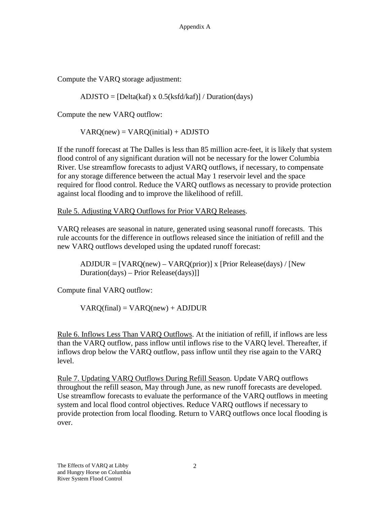Compute the VARQ storage adjustment:

 $ADJSTO = [Delta(kaf) \times 0.5(ksfd/kaf)] / Duration/day)$ 

Compute the new VARQ outflow:

 $VARQ(new) = VARQ(inital) + ADJSTO$ 

If the runoff forecast at The Dalles is less than 85 million acre-feet, it is likely that system flood control of any significant duration will not be necessary for the lower Columbia River. Use streamflow forecasts to adjust VARQ outflows, if necessary, to compensate for any storage difference between the actual May 1 reservoir level and the space required for flood control. Reduce the VARQ outflows as necessary to provide protection against local flooding and to improve the likelihood of refill.

Rule 5. Adjusting VARQ Outflows for Prior VARQ Releases.

VARQ releases are seasonal in nature, generated using seasonal runoff forecasts. This rule accounts for the difference in outflows released since the initiation of refill and the new VARQ outflows developed using the updated runoff forecast:

 $ADIDUR = [VARO(new) - VARO(prior)]$  x [Prior Release(days) / [New Duration(days) – Prior Release(days)]]

Compute final VARQ outflow:

 $VARQ(final) = VARQ(new) + ADJDUR$ 

Rule 6. Inflows Less Than VARQ Outflows. At the initiation of refill, if inflows are less than the VARQ outflow, pass inflow until inflows rise to the VARQ level. Thereafter, if inflows drop below the VARQ outflow, pass inflow until they rise again to the VARQ level.

Rule 7. Updating VARQ Outflows During Refill Season. Update VARQ outflows throughout the refill season, May through June, as new runoff forecasts are developed. Use streamflow forecasts to evaluate the performance of the VARQ outflows in meeting system and local flood control objectives. Reduce VARQ outflows if necessary to provide protection from local flooding. Return to VARQ outflows once local flooding is over.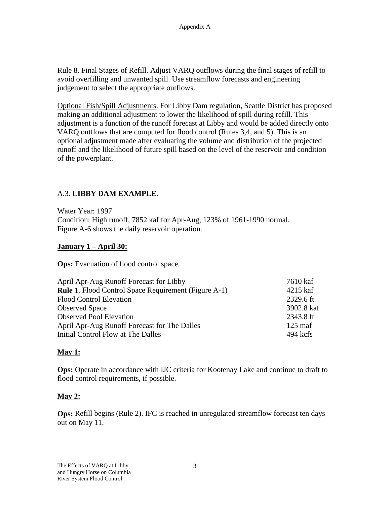Rule 8. Final Stages of Refill. Adjust VARQ outflows during the final stages of refill to avoid overfilling and unwanted spill. Use streamflow forecasts and engineering judgement to select the appropriate outflows.

Optional Fish/Spill Adjustments. For Libby Dam regulation, Seattle District has proposed making an additional adjustment to lower the likelihood of spill during refill. This adjustment is a function of the runoff forecast at Libby and would be added directly onto VARQ outflows that are computed for flood control (Rules 3,4, and 5). This is an optional adjustment made after evaluating the volume and distribution of the projected runoff and the likelihood of future spill based on the level of the reservoir and condition of the powerplant.

## A.3. **LIBBY DAM EXAMPLE.**

Water Year: 1997 Condition: High runoff, 7852 kaf for Apr-Aug, 123% of 1961-1990 normal. Figure A-6 shows the daily reservoir operation.

#### **January 1 – April 30:**

**Ops:** Evacuation of flood control space.

| April Apr-Aug Runoff Forecast for Libby                     | 7610 kaf          |
|-------------------------------------------------------------|-------------------|
| <b>Rule 1.</b> Flood Control Space Requirement (Figure A-1) | 4215 kaf          |
| <b>Flood Control Elevation</b>                              | 2329.6 ft         |
| <b>Observed Space</b>                                       | 3902.8 kaf        |
| <b>Observed Pool Elevation</b>                              | 2343.8 ft         |
| April Apr-Aug Runoff Forecast for The Dalles                | $125 \text{ maf}$ |
| Initial Control Flow at The Dalles                          | $494$ kcfs        |

# **May 1:**

**Ops:** Operate in accordance with IJC criteria for Kootenay Lake and continue to draft to flood control requirements, if possible.

#### **May 2:**

**Ops:** Refill begins (Rule 2). IFC is reached in unregulated streamflow forecast ten days out on May 11.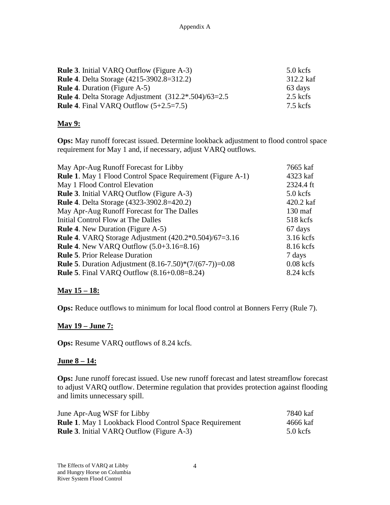| <b>Rule 3.</b> Initial VARQ Outflow (Figure A-3)                | $5.0$ kcfs |
|-----------------------------------------------------------------|------------|
| <b>Rule 4.</b> Delta Storage (4215-3902.8=312.2)                | 312.2 kaf  |
| <b>Rule 4.</b> Duration (Figure A-5)                            | 63 days    |
| <b>Rule 4.</b> Delta Storage Adjustment $(312.2^* .504)/63=2.5$ | $2.5$ kcfs |
| <b>Rule 4.</b> Final VARQ Outflow $(5+2.5=7.5)$                 | $7.5$ kcfs |

#### **May 9:**

**Ops:** May runoff forecast issued. Determine lookback adjustment to flood control space requirement for May 1 and, if necessary, adjust VARQ outflows.

| May Apr-Aug Runoff Forecast for Libby                             | 7665 kaf          |
|-------------------------------------------------------------------|-------------------|
| <b>Rule 1.</b> May 1 Flood Control Space Requirement (Figure A-1) | 4323 kaf          |
| May 1 Flood Control Elevation                                     | 2324.4 ft         |
| <b>Rule 3.</b> Initial VARQ Outflow (Figure A-3)                  | $5.0$ kcfs        |
| <b>Rule 4.</b> Delta Storage (4323-3902.8=420.2)                  | 420.2 kaf         |
| May Apr-Aug Runoff Forecast for The Dalles                        | $130 \text{ maf}$ |
| Initial Control Flow at The Dalles                                | 518 kcfs          |
| <b>Rule 4.</b> New Duration (Figure A-5)                          | 67 days           |
| <b>Rule 4.</b> VARQ Storage Adjustment (420.2*0.504)/67=3.16      | $3.16$ kcfs       |
| <b>Rule 4.</b> New VARQ Outflow $(5.0+3.16=8.16)$                 | 8.16 kcfs         |
| <b>Rule 5. Prior Release Duration</b>                             | 7 days            |
| <b>Rule 5.</b> Duration Adjustment $(8.16-7.50)*(7/(67-7))=0.08$  | $0.08$ kcfs       |
| <b>Rule 5.</b> Final VARQ Outflow (8.16+0.08=8.24)                | 8.24 kcfs         |

#### **May 15 – 18:**

**Ops:** Reduce outflows to minimum for local flood control at Bonners Ferry (Rule 7).

#### **May 19 – June 7:**

**Ops:** Resume VARQ outflows of 8.24 kcfs.

#### **June 8 – 14:**

**Ops:** June runoff forecast issued. Use new runoff forecast and latest streamflow forecast to adjust VARQ outflow. Determine regulation that provides protection against flooding and limits unnecessary spill.

| June Apr-Aug WSF for Libby                                    | 7840 kaf   |
|---------------------------------------------------------------|------------|
| <b>Rule 1.</b> May 1 Lookback Flood Control Space Requirement | 4666 kaf   |
| <b>Rule 3.</b> Initial VARQ Outflow (Figure A-3)              | $5.0$ kcfs |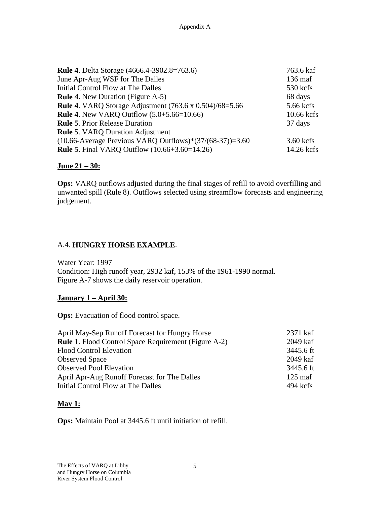| 763.6 kaf         |
|-------------------|
| $136 \text{ maf}$ |
| 530 kcfs          |
| 68 days           |
| 5.66 kcfs         |
| 10.66 kcfs        |
| 37 days           |
|                   |
| $3.60$ kcfs       |
| 14.26 kcfs        |
|                   |

#### **June 21 – 30:**

**Ops:** VARQ outflows adjusted during the final stages of refill to avoid overfilling and unwanted spill (Rule 8). Outflows selected using streamflow forecasts and engineering judgement.

#### A.4. **HUNGRY HORSE EXAMPLE**.

Water Year: 1997 Condition: High runoff year, 2932 kaf, 153% of the 1961-1990 normal. Figure A-7 shows the daily reservoir operation.

#### **January 1 – April 30:**

**Ops:** Evacuation of flood control space.

| April May-Sep Runoff Forecast for Hungry Horse              | 2371 kaf          |
|-------------------------------------------------------------|-------------------|
| <b>Rule 1.</b> Flood Control Space Requirement (Figure A-2) | 2049 kaf          |
| <b>Flood Control Elevation</b>                              | 3445.6 ft         |
| <b>Observed Space</b>                                       | 2049 kaf          |
| <b>Observed Pool Elevation</b>                              | 3445.6 ft         |
| April Apr-Aug Runoff Forecast for The Dalles                | $125 \text{ maf}$ |
| Initial Control Flow at The Dalles                          | $494$ kcfs        |

#### **May 1:**

**Ops:** Maintain Pool at 3445.6 ft until initiation of refill.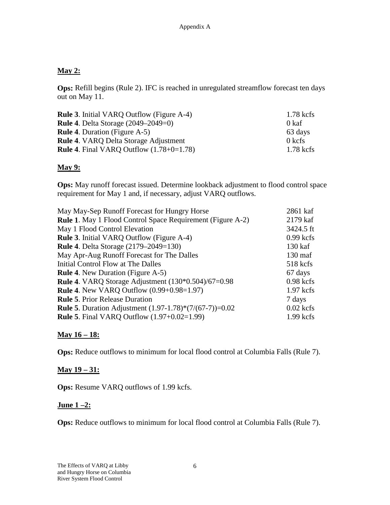#### **May 2:**

**Ops:** Refill begins (Rule 2). IFC is reached in unregulated streamflow forecast ten days out on May 11.

| <b>Rule 3.</b> Initial VARQ Outflow (Figure A-4)  | $1.78$ kcfs |
|---------------------------------------------------|-------------|
| <b>Rule 4.</b> Delta Storage $(2049-2049=0)$      | 0 kaf       |
| <b>Rule 4.</b> Duration (Figure A-5)              | 63 days     |
| <b>Rule 4. VARQ Delta Storage Adjustment</b>      | $0$ kcfs    |
| <b>Rule 4.</b> Final VARQ Outflow $(1.78+0=1.78)$ | 1.78 kcfs   |

## **May 9:**

**Ops:** May runoff forecast issued. Determine lookback adjustment to flood control space requirement for May 1 and, if necessary, adjust VARQ outflows.

| May May-Sep Runoff Forecast for Hungry Horse                      | 2861 kaf          |
|-------------------------------------------------------------------|-------------------|
| <b>Rule 1.</b> May 1 Flood Control Space Requirement (Figure A-2) | 2179 kaf          |
| May 1 Flood Control Elevation                                     | 3424.5 ft         |
| <b>Rule 3.</b> Initial VARQ Outflow (Figure A-4)                  | $0.99$ kcfs       |
| <b>Rule 4.</b> Delta Storage (2179–2049=130)                      | $130$ kaf         |
| May Apr-Aug Runoff Forecast for The Dalles                        | $130 \text{ maf}$ |
| Initial Control Flow at The Dalles                                | 518 kcfs          |
| <b>Rule 4.</b> New Duration (Figure A-5)                          | 67 days           |
| <b>Rule 4.</b> VARQ Storage Adjustment $(130*0.504)/67=0.98$      | $0.98$ kcfs       |
| <b>Rule 4.</b> New VARQ Outflow $(0.99+0.98=1.97)$                | $1.97$ kcfs       |
| <b>Rule 5. Prior Release Duration</b>                             | 7 days            |
| <b>Rule 5.</b> Duration Adjustment $(1.97-1.78)*(7/(67-7))=0.02$  | $0.02$ kcfs       |
| <b>Rule 5.</b> Final VARQ Outflow $(1.97+0.02=1.99)$              | $1.99$ kcfs       |

# **May 16 – 18:**

**Ops:** Reduce outflows to minimum for local flood control at Columbia Falls (Rule 7).

#### **May 19 – 31:**

**Ops:** Resume VARQ outflows of 1.99 kcfs.

#### **June 1 –2:**

**Ops:** Reduce outflows to minimum for local flood control at Columbia Falls (Rule 7).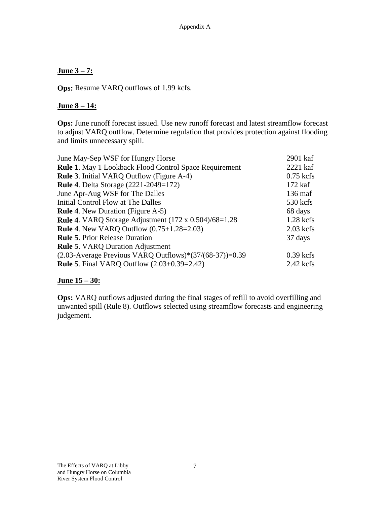#### **June 3 – 7:**

**Ops:** Resume VARQ outflows of 1.99 kcfs.

#### **June 8 – 14:**

**Ops:** June runoff forecast issued. Use new runoff forecast and latest streamflow forecast to adjust VARQ outflow. Determine regulation that provides protection against flooding and limits unnecessary spill.

| June May-Sep WSF for Hungry Horse                                   | 2901 kaf          |
|---------------------------------------------------------------------|-------------------|
| <b>Rule 1.</b> May 1 Lookback Flood Control Space Requirement       | $2221$ kaf        |
| <b>Rule 3.</b> Initial VARQ Outflow (Figure A-4)                    | $0.75$ kcfs       |
| <b>Rule 4. Delta Storage (2221-2049=172)</b>                        | 172 kaf           |
| June Apr-Aug WSF for The Dalles                                     | $136 \text{ maf}$ |
| Initial Control Flow at The Dalles                                  | 530 kcfs          |
| <b>Rule 4.</b> New Duration (Figure A-5)                            | 68 days           |
| <b>Rule 4.</b> VARQ Storage Adjustment $(172 \times 0.504)/68=1.28$ | $1.28$ kcfs       |
| <b>Rule 4.</b> New VARQ Outflow (0.75+1.28=2.03)                    | $2.03$ kcfs       |
| <b>Rule 5. Prior Release Duration</b>                               | 37 days           |
| <b>Rule 5. VARQ Duration Adjustment</b>                             |                   |
| $(2.03-A)$ Average Previous VARQ Outflows)* $(37/(68-37))=0.39$     | $0.39$ kcfs       |
| <b>Rule 5.</b> Final VARQ Outflow (2.03+0.39=2.42)                  | $2.42$ kcfs       |
|                                                                     |                   |

#### **June 15 – 30:**

**Ops:** VARQ outflows adjusted during the final stages of refill to avoid overfilling and unwanted spill (Rule 8). Outflows selected using streamflow forecasts and engineering judgement.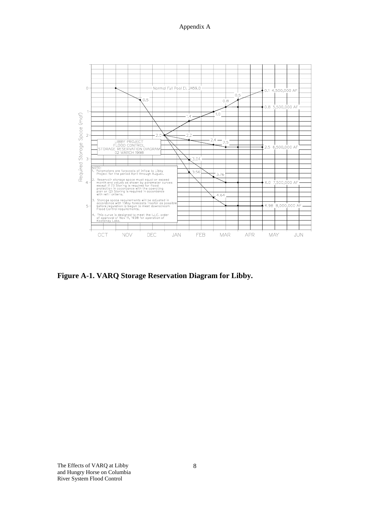

**Figure A-1. VARQ Storage Reservation Diagram for Libby.**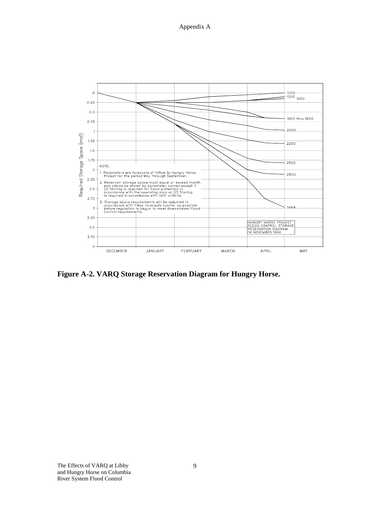

**Figure A-2. VARQ Storage Reservation Diagram for Hungry Horse.**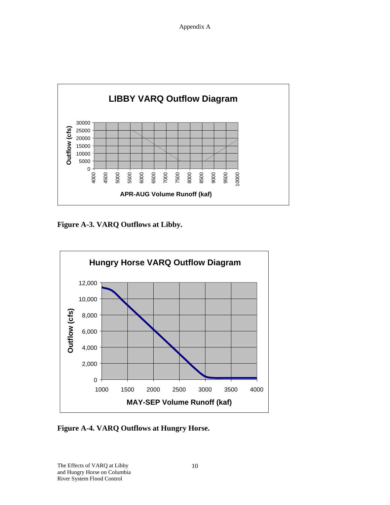

**Figure A-3. VARQ Outflows at Libby.**



**Figure A-4. VARQ Outflows at Hungry Horse.**

The Effects of VARQ at Libby and Hungry Horse on Columbia River System Flood Control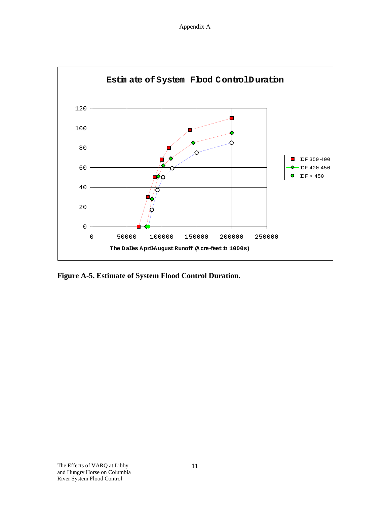Appendix A



**Figure A-5. Estimate of System Flood Control Duration.**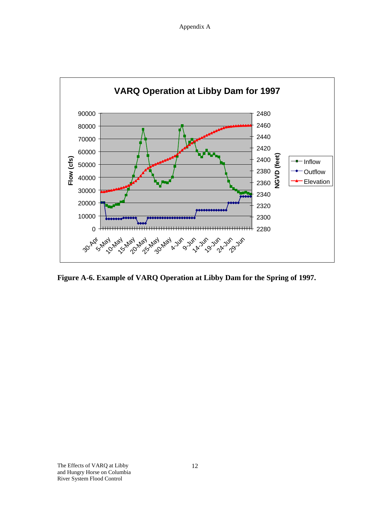

**Figure A-6. Example of VARQ Operation at Libby Dam for the Spring of 1997.**